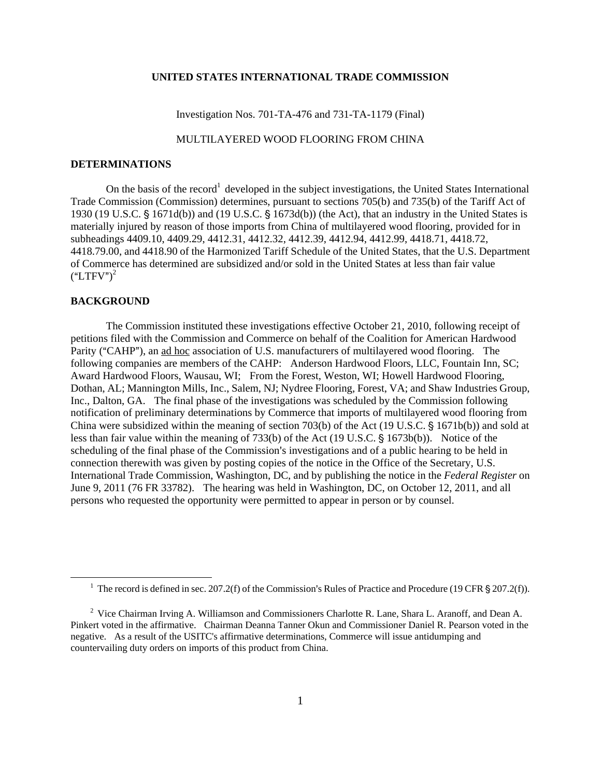## **UNITED STATES INTERNATIONAL TRADE COMMISSION**

Investigation Nos. 701-TA-476 and 731-TA-1179 (Final)

## MULTILAYERED WOOD FLOORING FROM CHINA

## **DETERMINATIONS**

On the basis of the record<sup>1</sup> developed in the subject investigations, the United States International Trade Commission (Commission) determines, pursuant to sections 705(b) and 735(b) of the Tariff Act of 1930 (19 U.S.C.  $\S$  1671d(b)) and (19 U.S.C.  $\S$  1673d(b)) (the Act), that an industry in the United States is materially injured by reason of those imports from China of multilayered wood flooring, provided for in subheadings 4409.10, 4409.29, 4412.31, 4412.32, 4412.39, 4412.94, 4412.99, 4418.71, 4418.72, 4418.79.00, and 4418.90 of the Harmonized Tariff Schedule of the United States, that the U.S. Department of Commerce has determined are subsidized and/or sold in the United States at less than fair value  $(\text{``LTFV''})^2$ 

## **BACKGROUND**

 $\overline{a}$ 

The Commission instituted these investigations effective October 21, 2010, following receipt of petitions filed with the Commission and Commerce on behalf of the Coalition for American Hardwood Parity ("CAHP"), an ad hoc association of U.S. manufacturers of multilayered wood flooring. The following companies are members of the CAHP: Anderson Hardwood Floors, LLC, Fountain Inn, SC; Award Hardwood Floors, Wausau, WI; From the Forest, Weston, WI; Howell Hardwood Flooring, Dothan, AL; Mannington Mills, Inc., Salem, NJ; Nydree Flooring, Forest, VA; and Shaw Industries Group, Inc., Dalton, GA. The final phase of the investigations was scheduled by the Commission following notification of preliminary determinations by Commerce that imports of multilayered wood flooring from China were subsidized within the meaning of section 703(b) of the Act (19 U.S.C.  $\S$  1671b(b)) and sold at less than fair value within the meaning of 733(b) of the Act (19 U.S.C.  $\S$  1673b(b)). Notice of the scheduling of the final phase of the Commission's investigations and of a public hearing to be held in connection therewith was given by posting copies of the notice in the Office of the Secretary, U.S. International Trade Commission, Washington, DC, and by publishing the notice in the *Federal Register* on June 9, 2011 (76 FR 33782). The hearing was held in Washington, DC, on October 12, 2011, and all persons who requested the opportunity were permitted to appear in person or by counsel.

<sup>&</sup>lt;sup>1</sup> The record is defined in sec. 207.2(f) of the Commission's Rules of Practice and Procedure (19 CFR § 207.2(f)).

<sup>&</sup>lt;sup>2</sup> Vice Chairman Irving A. Williamson and Commissioners Charlotte R. Lane, Shara L. Aranoff, and Dean A. Pinkert voted in the affirmative. Chairman Deanna Tanner Okun and Commissioner Daniel R. Pearson voted in the negative. As a result of the USITC's affirmative determinations, Commerce will issue antidumping and countervailing duty orders on imports of this product from China.